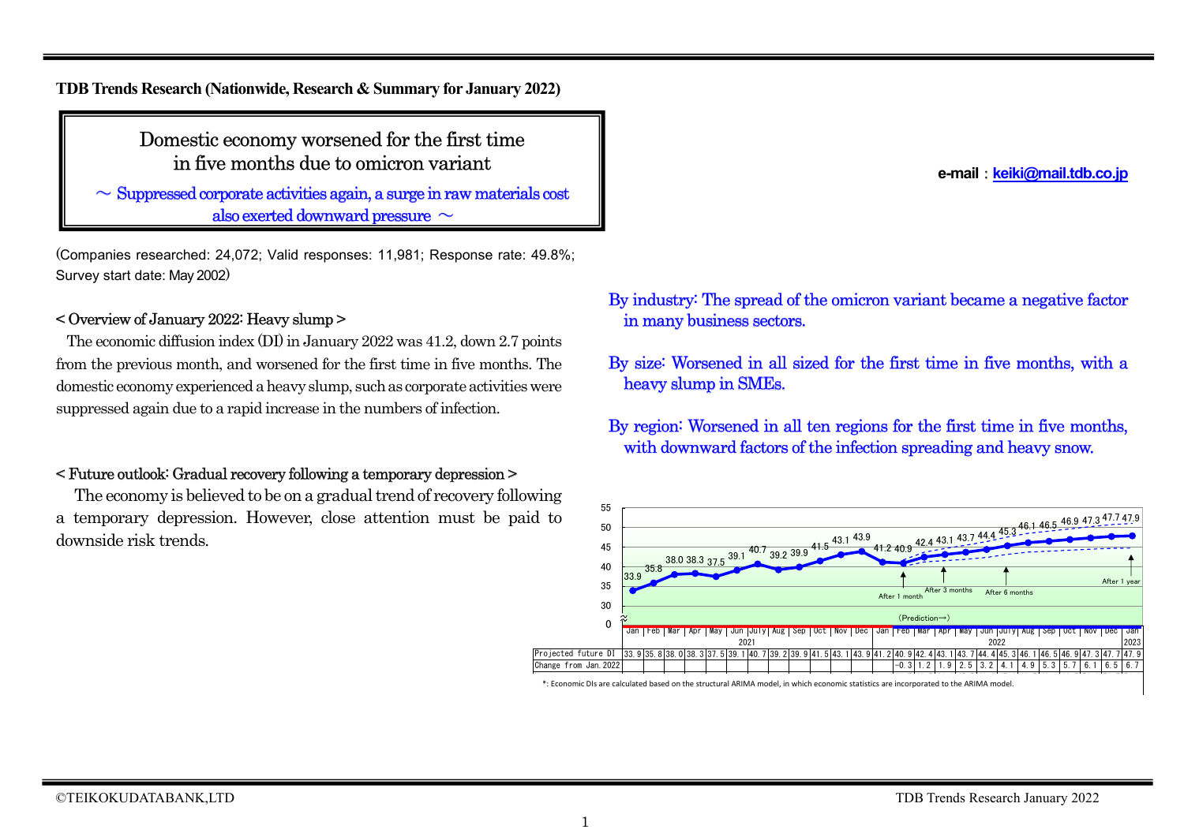**TDB Trends Research (Nationwide, Research & Summary for January 2022)**

Domestic economy worsened for the first time in five months due to omicron variant

 $\sim$  Suppressed corporate activities again, a surge in raw materials cost also exerted downward pressure  $\sim$ 

(Companies researched: 24,072; Valid responses: 11,981; Response rate: 49.8%; Survey start date: May 2002)

#### < Overview of January 2022: Heavy slump >

The economic diffusion index (DI) in January 2022 was 41.2, down 2.7 points from the previous month, and worsened for the first time in five months. The domestic economy experienced a heavy slump, such as corporate activities were suppressed again due to a rapid increase in the numbers of infection.

### < Future outlook: Gradual recovery following a temporary depression >

The economy is believed to be on a gradual trend of recovery following a temporary depression. However, close attention must be paid to downside risk trends.

By industry: The spread of the omicron variant became a negative factor in many business sectors.

By size: Worsened in all sized for the first time in five months, with a heavy slump in SMEs.

By region: Worsened in all ten regions for the first time in five months, with downward factors of the infection spreading and heavy snow.



 $\ast$ : Economic DIs are calculated based on the structural ARIMA model, in which economic statistics are incorporated to the ARIMA model.

**e-mail**:**keiki@mail.tdb.co.jp**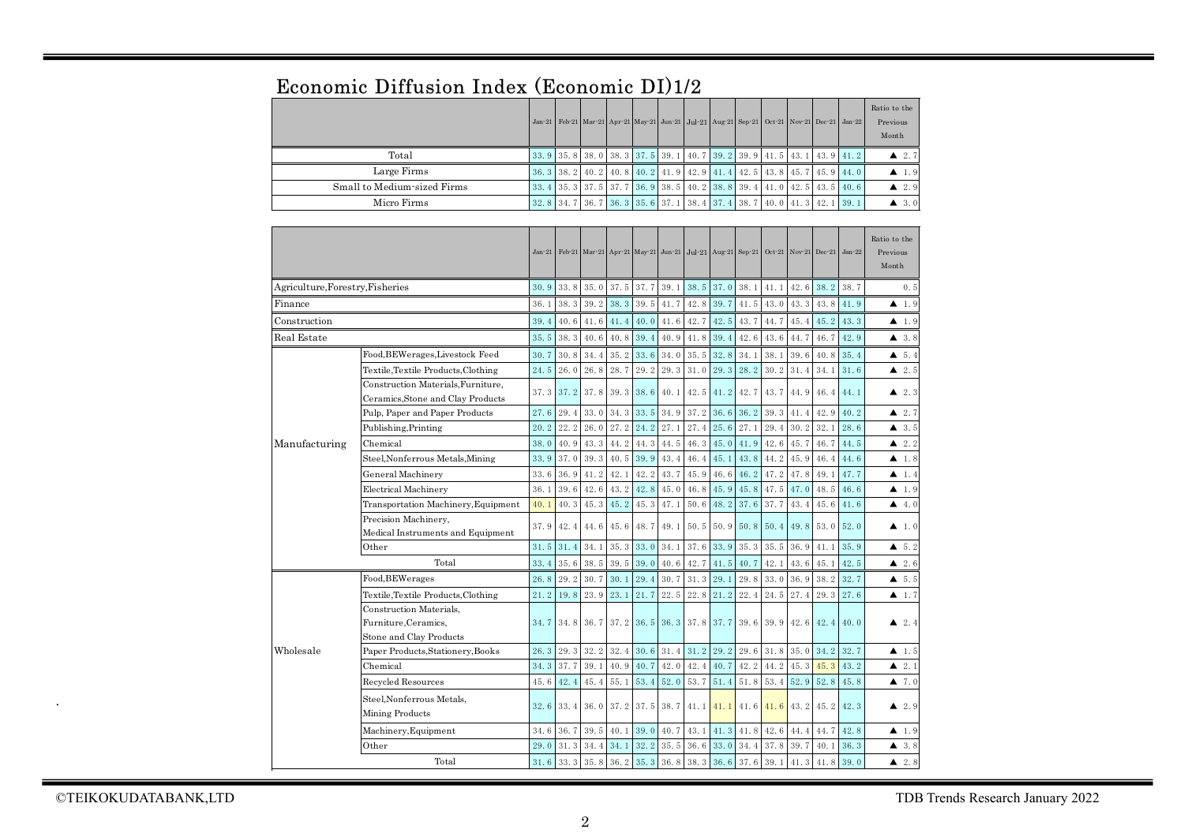|                                  | Economic Diffusion Index (Economic DI)1/2                          |              |              |                            |      |                   |              |                          |                                                                                            |              |              |                      |              |              |                                              |
|----------------------------------|--------------------------------------------------------------------|--------------|--------------|----------------------------|------|-------------------|--------------|--------------------------|--------------------------------------------------------------------------------------------|--------------|--------------|----------------------|--------------|--------------|----------------------------------------------|
|                                  |                                                                    |              |              |                            |      |                   |              |                          | Jan-21 Feb-21 Mar-21 Apr-21 May-21 Jun-21 Jul-21 Aug-21 Sep-21                             |              |              | Oct-21 Nov-21 Dec-21 |              | $Jan-22$     | Ratio to the<br>Previous<br>Month            |
|                                  | Total                                                              | 33.9         | 35.8         | 38.0                       | 38.3 | 37.5              | 39.1         | 40.7                     | 39.2                                                                                       | 39.9         | 41.5         | 43.1                 | 43.9         | 41.2         | $\blacktriangle$ 2.7                         |
|                                  | Large Firms                                                        | 36.3         | 38.2         | 40.2                       | 40.8 | 40.2              | 41.9         | 42.9                     | 41.4                                                                                       | 42.5         | 43.8         | 45.7                 | 45.9         | 44.0         | $\blacktriangle$ 1.9                         |
|                                  | Small to Medium-sized Firms                                        | 33.4         | 35.3         | 37.5                       | 37.7 | 36.9              | 38.5         | 40.2                     | 38.8                                                                                       | 39.4         | 41.0         | 42.5                 | 43.5         | 40.6         | $\blacktriangle$ 2.9                         |
|                                  | Micro Firms                                                        | 32.8         | 34.7         | 36.7                       | 36.3 | 35.6              | 37.1         | 38.4                     | 37.4                                                                                       | 38.7         | 40.0         | 41.3                 | 42.1         | 39.1         | 43.0                                         |
|                                  |                                                                    |              |              |                            |      |                   |              |                          |                                                                                            |              |              |                      |              |              |                                              |
|                                  |                                                                    |              |              |                            |      |                   |              |                          | Jan-21 Feb-21 Mar-21 Apr-21 May-21 Jun-21 Jul-21 Aug-21 Sep-21 Oct-21 Nov-21 Dec-21 Jan-22 |              |              |                      |              |              | Ratio to the<br>Previous<br>Month            |
| Agriculture, Forestry, Fisheries |                                                                    | 30.9         | 33.8         | 35.0                       | 37.5 | 37.7              | 39.1         | 38.5                     | 37.0                                                                                       | 38.1         | 41.1         | 42.6                 | 38.2         | 38.7         | 0.5                                          |
| Finance                          |                                                                    | 36.1         | 38.3         | 39.2                       | 38.3 | 39.5              | 41.7         | 42.8                     | 39.7                                                                                       | 41.5         | 43.0         | 43.3                 | 43.8         | 41.9         | $\blacktriangle$ 1.9                         |
| Construction                     |                                                                    | 39.4         | 40.6         | 41.6                       | 41.4 | 40.0              | 41.6         | 42.7                     | 42.5                                                                                       | 43.7         | 44.7         | 45.4                 | 45.2         | 43.3         | $\blacktriangle$ 1.9                         |
| Real Estate                      |                                                                    | 35.5         | 38.3         | 40.6                       | 40.8 | 39.4              | 40.9         | 41.8                     | 39.4                                                                                       | 42.6         | 43.6         | 44.7                 | 46.7         | 42.9         | 43.8                                         |
|                                  | Food, BEWerages, Livestock Feed                                    | 30.7         | 30.8         | 34.4                       | 35.2 | 33.6              | 34.0         | 35.5                     | 32.8                                                                                       | 34.1         | 38.1         | 39.6                 | 40.8         | 35.4         | $\triangle$ 5.4                              |
|                                  | Textile,Textile Products,Clothing                                  | 24.5         | 26.0         | 26.8                       | 28.7 | 29.2              | 29.3         | 31.0                     | 29.3                                                                                       | 28.2         | 30.2         | 31.4                 | 34.1         | 31.6         | $\blacktriangle$ 2.5                         |
|                                  | Construction Materials, Furniture,                                 | 37.3         |              |                            |      |                   |              |                          |                                                                                            |              |              |                      |              |              |                                              |
|                                  | Ceramics, Stone and Clay Products                                  |              | 37.2         | 37.8                       | 39.3 | 38.6              | 40.1         | 42.5                     | 41.2                                                                                       | 42.7         | 43.7         | 44.9                 | 46.4         | 44.1         | $\blacktriangle$ 2.3                         |
|                                  | Pulp, Paper and Paper Products                                     |              | 29.4         | 33.0                       | 34.3 | 33.5              | 34.9         | 37.2                     | 36.6                                                                                       | 36.2         | 39.3         | 41.4                 | 42.9         | 40.2         | $\triangle$ 2.7                              |
|                                  | Publishing, Printing                                               |              | 22.2         | 26.0                       | 27.2 | 24.2              | 27.1         | 27.4                     | 25.6                                                                                       | 27.1         | 29.4         | 30.2                 | 32.1         | 28.6         | $\triangle$ 3.5                              |
| Manufacturing                    | Chemical                                                           | 38.0         | 40.9         | 43.3                       | 44.2 | 44.3              | 44.5         | 46.3                     | 45.0                                                                                       | 41.9         | 42.6         | 45.7                 | 46.7         | 44.5         | $\blacktriangle$ 2.2                         |
|                                  | Steel,Nonferrous Metals,Mining                                     | 33.9         | 37.0         | 39.3                       | 40.5 | 39.9              | 43.4         | 46.4                     | 45.1                                                                                       | 43.8         | 44.2         | 45.9                 | 46.4         | 44.6         | $\blacktriangle$ 1.8                         |
|                                  | General Machinery                                                  | 33.6         | 36.9         | 41.2                       | 42.1 | 42.2              | 43.7         | 45.9                     | 46.6                                                                                       | 46.2         | 47.2         | 47.8                 | 49.1         | 47.7         | $\blacktriangle$ 1.4                         |
|                                  | Electrical Machinery                                               | 36.1         | 39.6         | 42.6                       | 43.2 | 42.8              | 45.0         | 46.8                     | 45.9                                                                                       | 45.8         | 47.5         | 47.0                 | 48.5         | 46.6         | $\blacktriangle$ 1.9                         |
|                                  | Transportation Machinery, Equipment                                | 40.1         | 40.3         | 45.3                       | 45.2 | 45.3              | 47.1         | 50.6                     | 48.2                                                                                       | 37.6         | 37.7         | 43.4                 | 45.6         | 41.6         | 4.0                                          |
|                                  | Precision Machinery,<br>Medical Instruments and Equipment          | 37.9         | 42.4         | 44.6                       | 45.6 | 48.7              | 49.1         | 50.5                     | 50.9                                                                                       | 50.8         | 50.4         | 49.8                 | 53.0         | 52.0         | $\blacktriangle$ 1.0                         |
|                                  | Other                                                              | 31.5         | 31.4         | 34.1                       | 35.3 | 33.0              | 34.1         | 37.6                     | 33.9                                                                                       | 35.3         | 35.5         | 36.9                 | 41.1         | 35.9         | $\bullet$ 5.2                                |
|                                  | Total                                                              | 33.4         | 35.6         | 38.5                       | 39.5 | 39.0              | 40.6         | 42.7                     | 41.5                                                                                       | 40.7         | 42.1         | 43.6                 | 45.1         | 42.5         | $\blacktriangle$ 2.6                         |
|                                  | Food, BEWerages                                                    | 26.8         | 29.2         | 30.7                       | 30.1 | 29.4              | 30.7         | 31.3                     | 29.1                                                                                       | 29.8         | 33.0         | 36.9                 | 38.2         | 32.7         | 4, 5, 5                                      |
|                                  | Textile, Textile Products, Clothing                                | 21.2         | 19.8         | 23.9                       | 23.1 | 21.7              | 22.5         | 22.8                     | 21.2                                                                                       | 22.4         | 24.5         | 27.4                 | 29.3         | 27.6         | $\blacktriangle$ 1.7                         |
|                                  | Construction Materials,                                            |              |              |                            |      |                   |              |                          |                                                                                            |              |              |                      |              |              |                                              |
|                                  | Furniture.Ceramics.                                                | 34.7         |              | 34.8 36.7                  |      |                   |              | 37.2 36.5 36.3 37.8 37.7 |                                                                                            | 39.6         | 39.9         | 42.6                 | 42.4         | 40.0         | $\triangle$ 2.4                              |
|                                  | Stone and Clay Products                                            |              |              |                            |      |                   |              |                          |                                                                                            |              |              |                      |              |              |                                              |
| Wholesale                        | Paper Products, Stationery, Books                                  | 26.3         | 29.3         | 32.2                       | 32.4 | 30.6              | 31.4         | 31.2                     | 29.2                                                                                       | 29.6         | 31.8         | 35.0                 | 34.2         | 32.7         | $\blacktriangle$ 1.5                         |
|                                  | Chemical                                                           | 34.3<br>45.6 | 37.7         | 39.1                       | 40.9 | 40.7              | 42.0<br>52.0 | 42.4                     | 40.7<br>51.4                                                                               | 42.2<br>51.8 | 44.2         | 45.3                 | 45.3<br>52.8 | 43.2         | $\blacktriangle$ 2.1                         |
|                                  | Recycled Resources<br>Steel, Nonferrous Metals,<br>Mining Products | 32.6         | 42.4<br>33.4 | 45.4<br>36.0               | 55.1 | 53.4<br>37.2 37.5 | 38.7         | 53.7<br>41.1             | 41.1                                                                                       | 41.6         | 53.4<br>41.6 | 52.9<br>43.2         | 45.2         | 45.8<br>42.3 | $\blacktriangle$ 7.0<br>$\blacktriangle$ 2.9 |
|                                  | Machinery, Equipment                                               | 34.6         | 36.7         | 39.5                       | 40.1 | 39.0              | 40.7         | 43.1                     | 41.3                                                                                       | 41.8         | 42.6         | 44.4                 | 44.7         | 42.8         | $\blacktriangle$ 1.9                         |
|                                  | $_{\rm Other}$                                                     | 29.0         | 31.3         | 34.4                       | 34.1 | 32.2              | 35.5         | 36.6                     | 33.0                                                                                       | 34.4         | 37.8         | 39.7                 | 40.1         | 36.3         | 43.8                                         |
|                                  | Total                                                              | 31.6         |              | $33.3$ 35.8 36.2 35.3 36.8 |      |                   |              |                          | $38.3$ 36.6 37.6 39.1                                                                      |              |              | 41.3                 | 41.8         | 39.0         | $\triangle$ 2.8                              |

## $E_{\text{conormi}}$  Diffusion Index (Economic DI)1/0

.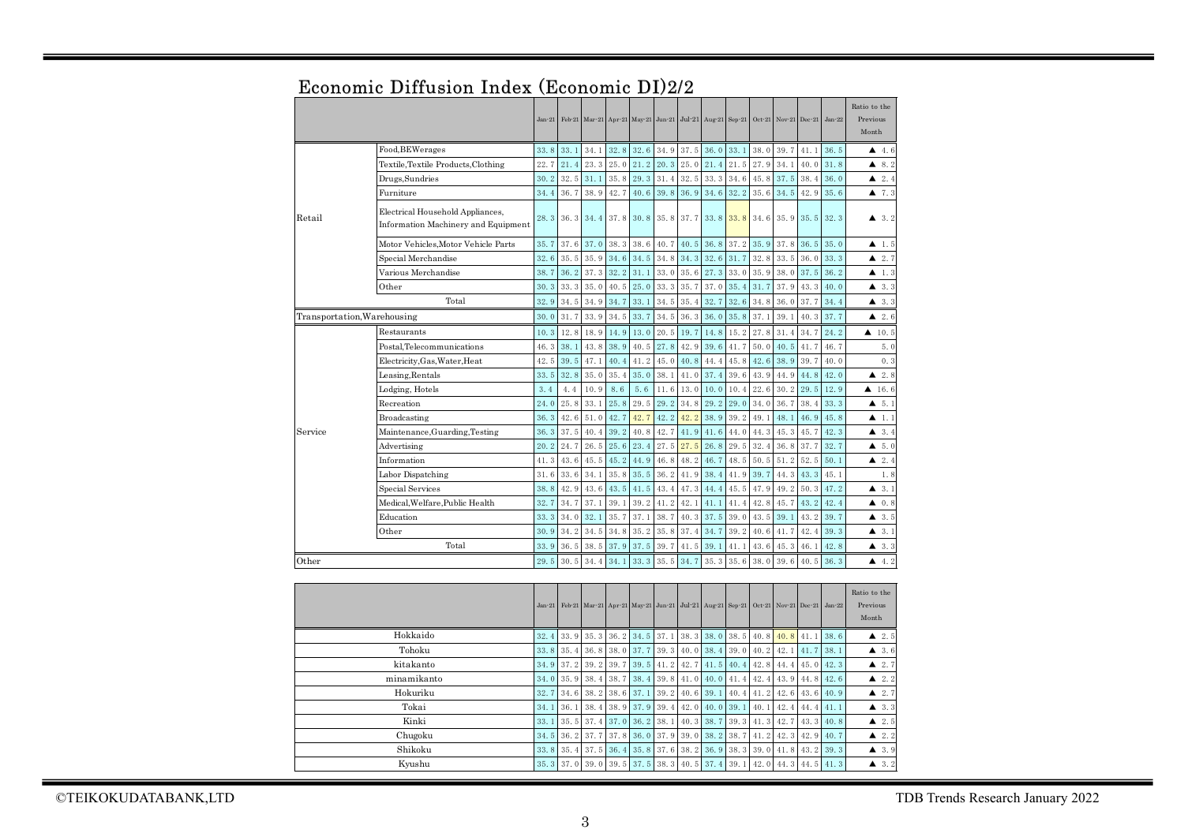|                     |                                                                         | $Jan-21$ |      | Feb-21 Mar-21 |      |      |      | Apr-21 May-21 Jun-21 Jul-21                             | Aug-21 | $Sep-21$ | $Oct-21$ | $Nov-21$             | $Dec-21$ | $Jan-22$ | Ratio to the<br>Previous<br>Month |
|---------------------|-------------------------------------------------------------------------|----------|------|---------------|------|------|------|---------------------------------------------------------|--------|----------|----------|----------------------|----------|----------|-----------------------------------|
|                     | Food, BEWerages                                                         | 33.8     | 33.1 | 34.1          | 32.8 | 32.6 | 34.9 | 37.5                                                    | 36.0   | 33.1     | 38.0     | 39.7                 | 41.1     | 36.5     | 4.6                               |
|                     | Textile, Textile Products, Clothing                                     | 22.7     | 21.4 | 23.3          | 25.0 | 21.2 | 20.3 | 25.0                                                    | 21.4   | 21.5     | 27.9     | 34.1                 | 40.0     | 31.8     | 8.2<br>▲                          |
|                     | Drugs,Sundries                                                          | 30.2     | 32.5 | 31.1          | 35.8 | 29.3 | 31.4 | 32.5                                                    | 33.3   | 34.6     | 45.8     | 37.5                 | 38.4     | 36.0     | 2.4<br>▴                          |
|                     | Furniture                                                               | 34.4     | 36.7 | 38.9          | 42.7 | 40.6 | 39.8 | 36.9                                                    | 34.6   | 32.2     | 35.6     | 34.5                 | 42.9     | 35.6     | 47.3                              |
| Retail              | Electrical Household Appliances,<br>Information Machinery and Equipment | 28.3     | 36.3 | 34.4          | 37.8 | 30.8 | 35.8 | 37.7                                                    | 33.8   | 33.8     | 34.6     | 35.9                 | 35.5     | 32.3     | 43.2                              |
|                     | Motor Vehicles,Motor Vehicle Parts                                      | 35.7     | 37.6 | 37.0          | 38.3 | 38.6 | 40.7 | 40.5                                                    | 36.8   | 37.2     | 35.9     | 37.8                 | 36.5     | 35.0     | ▲<br>1.5                          |
|                     | Special Merchandise                                                     | 32.6     | 35.5 | 35.9          | 34.6 | 34.5 | 34.8 | 34.3                                                    | 32.6   | 31.7     | 32.8     | 33.5                 | 36.0     | 33.3     | 2.7<br>▲                          |
|                     | Various Merchandise                                                     | 38.7     | 36.2 | 37.3          | 32.2 | 31.1 | 33.0 | 35.6                                                    | 27.3   | 33.0     | 35.9     | 38.0                 | 37.5     | 36.2     | $\blacktriangle$ 1.3              |
|                     | Other                                                                   | 30.3     | 33.3 | 35.0          | 40.5 | 25.0 | 33.3 | 35.7                                                    | 37.0   | 35.4     | 31.7     | 37.9                 | 43.3     | 40.0     | 3.3<br>▴                          |
|                     | Total                                                                   | 32.9     | 34.5 | 34.9          | 34.7 | 33.1 | 34.5 | 35.4                                                    | 32.7   | 32.6     | 34.8     | 36.0                 | 37.7     | 34.4     | 3.3<br>▲                          |
|                     | Transportation, Warehousing                                             | 30.0     | 31.7 | 33.9          | 34.5 | 33.7 | 34.5 | 36.3                                                    | 36.0   | 35.8     | 37.1     | 39.1                 | 40.3     | 37.7     | 2.6<br>▲                          |
|                     | Restaurants                                                             | 10.3     | 12.8 | 18.9          | 14.9 | 13.0 | 20.5 | 19.7                                                    | 14.8   | 15.2     | 27.8     | 31.4                 | 34.7     | 24.2     | $\triangle$ 10.5                  |
|                     | Postal,Telecommunications                                               | 46.3     | 38.1 | 43.8          | 38.9 | 40.5 | 27.8 | 42.9                                                    | 39.6   | 41.7     | 50.0     | 40.5                 | 41.7     | 46.7     | 5.0                               |
|                     | Electricity, Gas, Water, Heat                                           | 42.5     | 39.5 | 47.1          | 40.4 | 41.2 | 45.0 | 40.8                                                    | 44.4   | 45.8     | 42.6     | 38.9                 | 39.7     | 40.0     | 0.3                               |
|                     | Leasing,Rentals                                                         | 33.5     | 32.8 | 35.0          | 35.4 | 35.0 | 38.1 | 41.0                                                    | 37.4   | 39.6     | 43.9     | 44.9                 | 44.8     | 42.0     | 2.8<br>▲                          |
|                     | Lodging, Hotels                                                         | 3.4      | 4.4  | 10.9          | 8.6  | 5.6  | 11.6 | 13.0                                                    | 10.0   | 10.4     | 22.6     | 30.2                 | 29.5     | 12.9     | 416.6                             |
|                     | Recreation                                                              | 24.0     | 25.8 | 33.1          | 25.8 | 29.5 | 29.2 | 34.8                                                    | 29.2   | 29.0     | 34.0     | 36.7                 | 38.4     | 33.3     | 5.1<br>▴                          |
|                     | Broadcasting                                                            | 36.3     | 42.6 | 51.0          | 42.7 | 42.7 | 42.2 | 42.2                                                    | 38.9   | 39.2     | 49.1     | 48.1                 | 46.9     | 45.8     | $\blacktriangle$ 1.1              |
| Service             | Maintenance, Guarding, Testing                                          | 36.3     | 37.5 | 40.4          | 39.2 | 40.8 | 42.7 | 41.9                                                    | 41.6   | 44.0     | 44.3     | 45.3                 | 45.7     | 42.3     | 3.4<br>▲                          |
|                     | Advertising                                                             | 20.2     | 24.7 | 26.5          | 25.6 | 23.4 | 27.5 | 27.5                                                    | 26.8   | 29.5     | 32.4     | 36.8                 | 37.7     | 32.7     | 5.0<br>▲                          |
|                     | Information                                                             | 41.3     | 43.6 | 45.5          | 45.2 | 44.9 | 46.8 | 48.2                                                    | 46.7   | 48.5     | 50.5     | 51.2                 | 52.5     | 50.1     | ▲<br>2.4                          |
|                     | Labor Dispatching                                                       | 31.6     | 33.6 | 34.1          | 35.8 | 35.5 | 36.2 | 41.9                                                    | 38.4   | 41.9     | 39.7     | 44.3                 | 43.3     | 45.1     | 1.8                               |
|                     | Special Services                                                        | 38.8     | 42.9 | 43.6          | 43.5 | 41.5 | 43.4 | 47.3                                                    | 44.4   | 45.5     | 47.9     | 49.2                 | 50.3     | 47.2     | 3.1<br>▲                          |
|                     | Medical, Welfare, Public Health                                         | 32.7     | 34.7 | 37.1          | 39.1 | 39.2 | 41.2 | 42.1                                                    | 41.1   | 41.4     | 42.8     | 45.7                 | 43.2     | 42.4     | 0.8<br>▴                          |
|                     | Education                                                               | 33.3     | 34.0 | 32.1          | 35.7 | 37.1 | 38.7 | 40.3                                                    | 37.5   | 39.0     | 43.5     | 39.1                 | 43.2     | 39.7     | 3.5<br>▲                          |
|                     | Other                                                                   | 30.9     | 34.2 | 34.5          | 34.8 | 35.2 | 35.8 | 37.4                                                    | 34.7   | 39.2     | 40.6     | 41.7                 | 42.4     | 39.3     | $\triangle$ 3.1                   |
|                     | Total                                                                   | 33.9     | 36.5 | 38.5          | 37.9 | 37.5 | 39.7 | 41.5                                                    | 39.1   | 41.1     | 43.6     | 45.3                 | 46.1     | 42.8     | 3.3<br>▲                          |
| Other               |                                                                         | 29.5     | 30.5 | 34.4          | 34.1 | 33.3 | 35.5 | 34.7                                                    | 35.3   | 35.6     | 38.0     | 39.6                 | 40.5     | 36.3     | 4.2<br>▲                          |
|                     |                                                                         | $Jan-21$ |      |               |      |      |      | Feb-21 Mar-21 Apr-21 May-21 Jun-21 Jul-21 Aug-21 Sep-21 |        |          |          | Oct-21 Nov-21 Dec-21 |          | $Jan-22$ | Ratio to the<br>Previous          |
|                     |                                                                         |          |      |               |      |      |      |                                                         |        |          |          |                      |          |          | Month                             |
|                     | 32.4                                                                    | 33.9     | 35.3 | 36.2          | 34.5 | 37.1 | 38.3 | 38.0                                                    | 38.5   | 40.8     | 40.8     | 41.1                 | 38.6     | 2.5      |                                   |
|                     | 33.8                                                                    | 35.4     | 36.8 | 38.0          | 37.7 | 39.3 | 40.0 | 38.4                                                    | 39.0   | 40.2     | 42.1     | 41.7                 | 38.1     | 3.6<br>▲ |                                   |
|                     | kitakanto                                                               | 34.9     | 37.2 | 39.2          | 39.7 | 39.5 | 41.2 | 42.7                                                    | 41.5   | 40.4     | 42.8     | 44.4                 | 45.0     | 42.3     | 2.7<br>▲                          |
| minamikanto<br>34.0 |                                                                         |          |      | 38.4          | 38.7 | 38.4 | 39.8 | 41.0                                                    | 40.0   | 41.4     | 42.4     | 43.9                 | 44.8     | 42.6     | 2.2                               |
|                     | Hokuriku                                                                | 32.7     | 34.6 | 38.2          | 38.6 | 37.1 | 39.2 | 40.6                                                    | 39.1   | 40.4     | 41.2     | 42.6                 | 43.6     | 40.9     | 2.7<br>▲                          |
|                     | Tokai                                                                   | 34.1     | 36.1 | 38.4          | 38.9 | 37.9 | 39.4 | 42.0                                                    | 40.0   | 39.1     | 40.1     | 42.4                 | 44.4     | 41.1     | 3, 3<br>▲                         |
|                     | Kinki                                                                   | 33.1     | 35.5 | 37.4          | 37.0 | 36.2 | 38.1 | 40.3                                                    | 38.7   | 39.3     | 41.3     | 42.7                 | 43.3     | 40.8     | 2.5<br>▲                          |
|                     | 34.5                                                                    | 36.2     | 37.7 | 37.8          | 36.0 | 37.9 | 39.0 | 38.2                                                    | 38.7   | 41.2     | 42.3     | 42.9                 | 40.7     | 2.2<br>▲ |                                   |

### Economic Diffusion Index (Economic DI)2/2

Shikoku Kyushu 33.8 35.4 37.5 36.4 35.8 37.6 38.2 36.9 38.3 39.0 41.8 43.2 39.3 ▲ 3.9 35.3 37.0 39.0 39.5 37.5 38.3 40.5 37.4 39.1 42.0 44.3 44.5 41.3 ▲ 3.2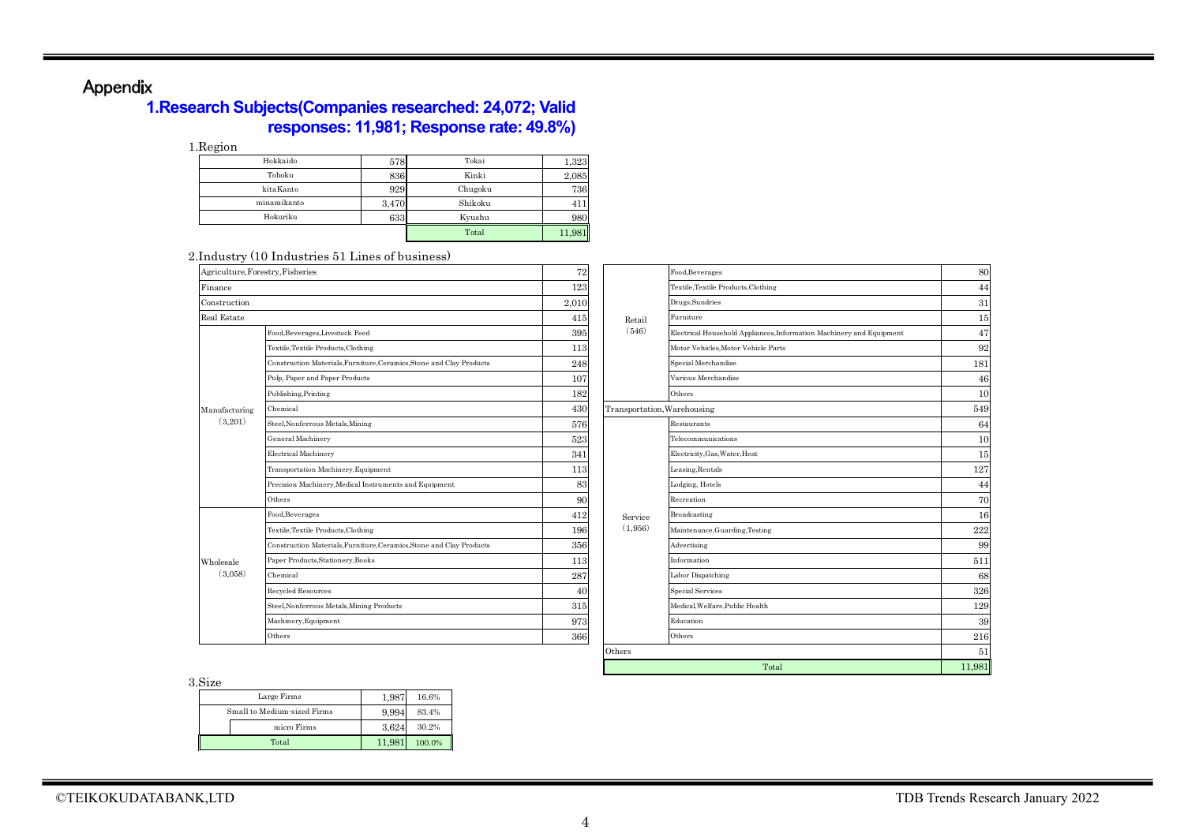# Appendix

### **1.Research Subjects(Companies researched: 24,072; Valid responses: 11,981; Response rate: 49.8%)**

1.Region

| Hokkaido    | 578   | Tokai   | 1,323 |
|-------------|-------|---------|-------|
| Tohoku      | 836   | Kinki   | 2,085 |
| kitaKanto   | 929   | Chugoku | 736   |
| minamikanto | 3,470 | Shikoku | 411   |
| Hokuriku    | 633   | Kyushu  | 980   |
|             |       | Total   |       |

#### 2.Industry (10 Industries 51 Lines of business)

| Agriculture, Forestry, Fisheries |                                                                      | 72    |         | Food, Beverages             |
|----------------------------------|----------------------------------------------------------------------|-------|---------|-----------------------------|
| Finance                          |                                                                      | 123   |         | Textile.Textile Produ       |
| Construction                     |                                                                      | 2,010 |         | Drugs, Sundries             |
| Real Estate                      |                                                                      | 415   | Retail  | Furniture                   |
|                                  | Food, Beverages, Livestock Feed                                      | 395   | (546)   | Electrical Household        |
|                                  | Textile, Textile Products, Clothing                                  | 113   |         | Motor Vehicles, Moto        |
|                                  | Construction Materials, Furniture, Ceramics, Stone and Clay Products | 248   |         | Special Merchandise         |
|                                  | Pulp, Paper and Paper Products                                       | 107   |         | Various Merchandis          |
|                                  | Publishing, Printing                                                 | 182   |         | Others                      |
| Manufacturing                    | Chemical                                                             | 430   |         | Transportation, Warehousing |
| (3,201)                          | Steel, Nonferrous Metals, Mining                                     | 576   |         | Restaurants                 |
|                                  | General Machinery                                                    | 523   |         | Telecommunications          |
|                                  | <b>Electrical Machinery</b>                                          | 341   |         | Electricity, Gas, Wate      |
|                                  | Transportation Machinery, Equipment                                  | 113   |         | Leasing, Rentals            |
|                                  | Precision Machinery, Medical Instruments and Equipment               | 83    |         | Lodging, Hotels             |
|                                  | Others                                                               | 90    |         | Recreation                  |
|                                  | Food, Beverages                                                      | 412   | Service | Broadcasting                |
|                                  | Textile, Textile Products, Clothing                                  | 196   | (1,956) | Maintenance, Guard          |
|                                  | Construction Materials, Furniture, Ceramics, Stone and Clay Products | 356   |         | Advertising                 |
| Wholesale                        | Paper Products, Stationery, Books                                    | 113   |         | Information                 |
| (3.058)                          | Chemical                                                             | 287   |         | Labor Dispatching           |
|                                  | Recycled Resources                                                   | 40    |         | <b>Special Services</b>     |
|                                  | Steel, Nonferrous Metals, Mining Products                            | 315   |         | Medical, Welfare, Pul       |
|                                  | Machinery, Equipment                                                 | 973   |         | Education                   |
|                                  | Others                                                               | 366   |         | Others                      |

| try, Fisheries                                                       | 72    |                             | Food, Beverages                                                      | 80     |
|----------------------------------------------------------------------|-------|-----------------------------|----------------------------------------------------------------------|--------|
|                                                                      | 123   |                             | Textile,Textile Products,Clothing                                    | 44     |
|                                                                      | 2,010 |                             | Drugs, Sundries                                                      | 31     |
|                                                                      | 415   | Retail                      | Furniture                                                            | 15     |
| Food, Beverages, Livestock Feed                                      | 395   | (546)                       | Electrical Household Appliances, Information Machinery and Equipment | 47     |
| Textile.Textile Products.Clothing                                    | 113   |                             | Motor Vehicles.Motor Vehicle Parts                                   | 92     |
| Construction Materials, Furniture, Ceramics, Stone and Clay Products | 248   |                             | Special Merchandise                                                  | 181    |
| Pulp, Paper and Paper Products                                       | 107   |                             | Various Merchandise                                                  | 46     |
| Publishing, Printing                                                 | 182   |                             | Others                                                               | 10     |
| Chemical                                                             | 430   | Transportation, Warehousing |                                                                      | 549    |
| Steel, Nonferrous Metals, Mining                                     | 576   |                             | Restaurants                                                          | 64     |
| General Machinery                                                    | 523   |                             | Telecommunications                                                   | 10     |
| Electrical Machinery                                                 | 341   |                             | Electricity, Gas, Water, Heat                                        | 15     |
| Transportation Machinery, Equipment                                  | 113   |                             | Leasing, Rentals                                                     | 127    |
| Precision Machinery, Medical Instruments and Equipment               | 83    |                             | Lodging, Hotels                                                      | 44     |
| Others                                                               | 90    |                             | Recreation                                                           | 70     |
| Food, Beverages                                                      | 412   | Service                     | Broadcasting                                                         | 16     |
| Textile, Textile Products, Clothing                                  | 196   | (1,956)                     | Maintenance, Guarding, Testing                                       | 222    |
| Construction Materials, Furniture, Ceramics, Stone and Clay Products | 356   |                             | Advertising                                                          | 99     |
| Paper Products, Stationery, Books                                    | 113   |                             | Information                                                          | 511    |
| Chemical                                                             | 287   |                             | Labor Dispatching                                                    | 68     |
| Recycled Resources                                                   | 40    |                             | <b>Special Services</b>                                              | 326    |
| Steel, Nonferrous Metals, Mining Products                            | 315   |                             | Medical, Welfare, Public Health                                      | 129    |
| Machinery, Equipment                                                 | 973   |                             | Education                                                            | 39     |
| Others                                                               | 366   |                             | Others                                                               | 216    |
|                                                                      |       | Others                      |                                                                      | 51     |
|                                                                      |       |                             | Total                                                                | 11,981 |

3.Size

| Large Firms                 | 1.987 | 16.6%  |
|-----------------------------|-------|--------|
| Small to Medium-sized Firms | 9.994 | 83.4%  |
| micro Firms                 | 3.624 | 30.2%  |
| Total                       | 11.98 | 100.0% |